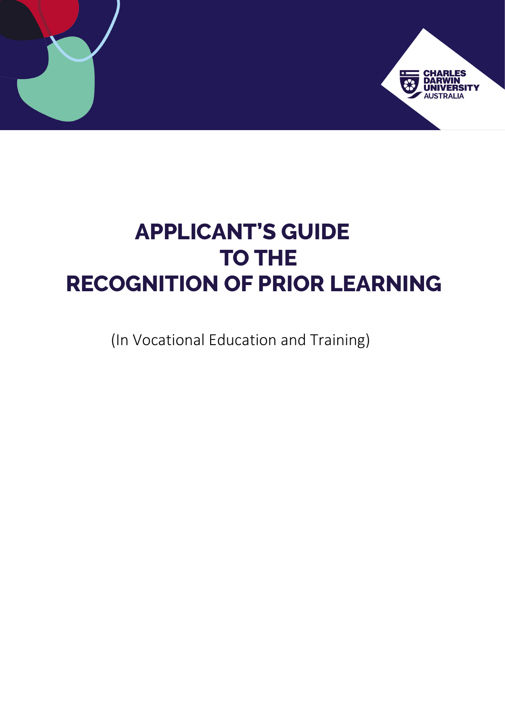

# **APPLICANT'S GUIDE TO THE RECOGNITION OF PRIOR LEARNING**

(In Vocational Education and Training)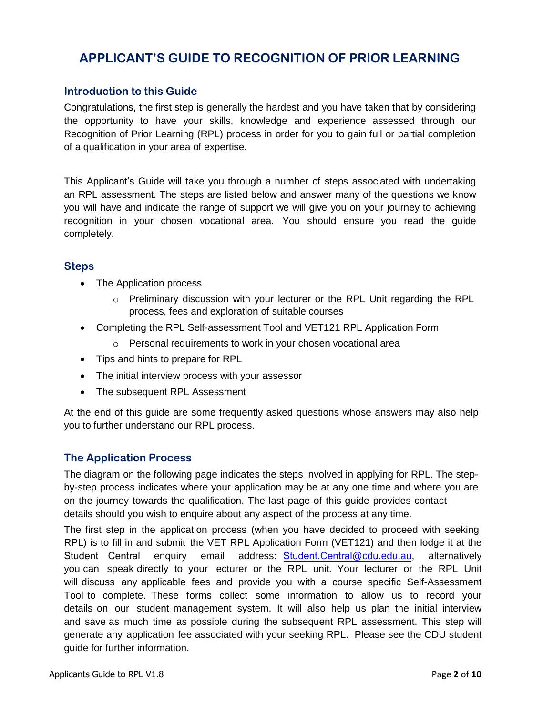# **APPLICANT'S GUIDE TO RECOGNITION OF PRIOR LEARNING**

# **Introduction to this Guide**

Congratulations, the first step is generally the hardest and you have taken that by considering the opportunity to have your skills, knowledge and experience assessed through our Recognition of Prior Learning (RPL) process in order for you to gain full or partial completion of a qualification in your area of expertise.

This Applicant's Guide will take you through a number of steps associated with undertaking an RPL assessment. The steps are listed below and answer many of the questions we know you will have and indicate the range of support we will give you on your journey to achieving recognition in your chosen vocational area. You should ensure you read the guide completely.

# **Steps**

- The Application process
	- $\circ$  Preliminary discussion with your lecturer or the RPL Unit regarding the RPL process, fees and exploration of suitable courses
- Completing the RPL Self-assessment Tool and VET121 RPL Application Form
	- o Personal requirements to work in your chosen vocational area
- Tips and hints to prepare for RPL
- The initial interview process with your assessor
- The subsequent RPL Assessment

At the end of this guide are some frequently asked questions whose answers may also help you to further understand our RPL process.

# **The Application Process**

The diagram on the following page indicates the steps involved in applying for RPL. The stepby-step process indicates where your application may be at any one time and where you are on the journey towards the qualification. The last page of this guide provides contact details should you wish to enquire about any aspect of the process at any time.

The first step in the application process (when you have decided to proceed with seeking RPL) is to fill in and submit the VET RPL Application Form (VET121) and then lodge it at the Student Central enquiry email address: S[tudent.](mailto:Student.Central@cdu.edu.au)Central[@cdu.edu.au,](mailto:Student.Central@cdu.edu.au) alternatively you can speak directly to your lecturer or the RPL unit. Your lecturer or the RPL Unit will discuss any applicable fees and provide you with a course specific Self-Assessment Tool to complete. These forms collect some information to allow us to record your details on our student management system. It will also help us plan the initial interview and save as much time as possible during the subsequent RPL assessment. This step will generate any application fee associated with your seeking RPL. Please see the CDU student guide for further information.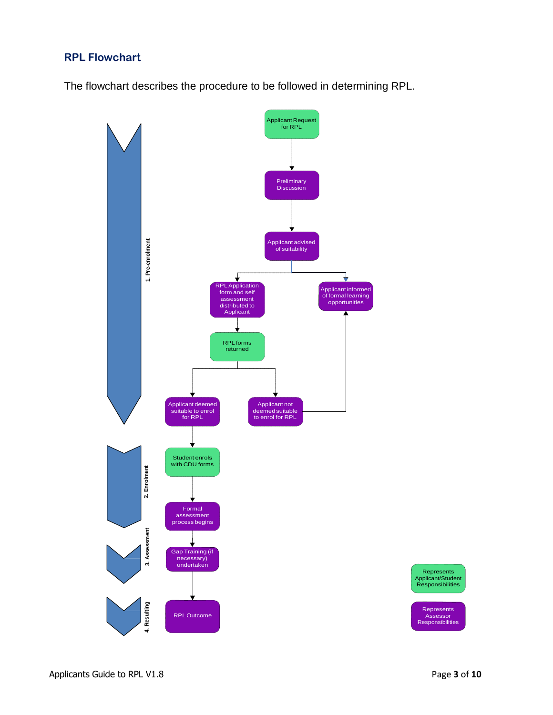# **RPL Flowchart**

The flowchart describes the procedure to be followed in determining RPL.

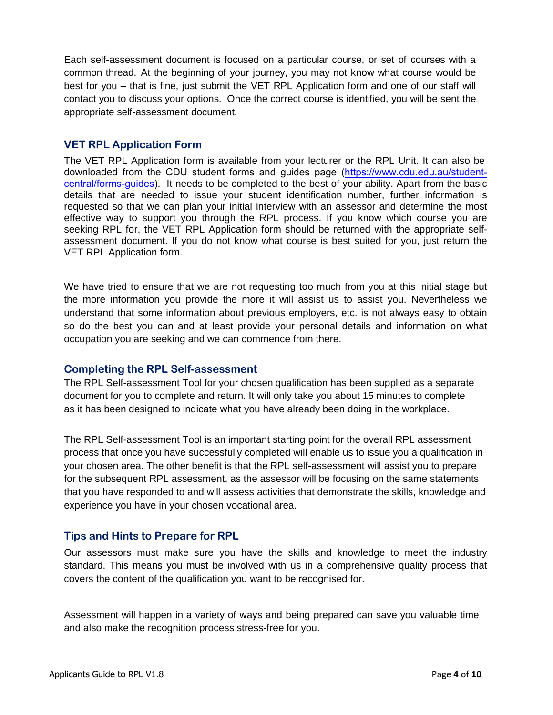Each self-assessment document is focused on a particular course, or set of courses with a common thread. At the beginning of your journey, you may not know what course would be best for you – that is fine, just submit the VET RPL Application form and one of our staff will contact you to discuss your options. Once the correct course is identified, you will be sent the appropriate self-assessment document.

# **VET RPL Application Form**

The VET RPL Application form is available from your lecturer or the RPL Unit. It can also be downloaded from the CDU student forms and guides page ([https://www.cdu.edu.au/student](https://www.cdu.edu.au/student-central/forms-guides)[central/forms-guides](https://www.cdu.edu.au/student-central/forms-guides)). It needs to be completed to the best of your ability. Apart from the basic details that are needed to issue your student identification number, further information is requested so that we can plan your initial interview with an assessor and determine the most effective way to support you through the RPL process. If you know which course you are seeking RPL for, the VET RPL Application form should be returned with the appropriate selfassessment document. If you do not know what course is best suited for you, just return the VET RPL Application form.

We have tried to ensure that we are not requesting too much from you at this initial stage but the more information you provide the more it will assist us to assist you. Nevertheless we understand that some information about previous employers, etc. is not always easy to obtain so do the best you can and at least provide your personal details and information on what occupation you are seeking and we can commence from there.

## **Completing the RPL Self-assessment**

The RPL Self-assessment Tool for your chosen qualification has been supplied as a separate document for you to complete and return. It will only take you about 15 minutes to complete as it has been designed to indicate what you have already been doing in the workplace.

The RPL Self-assessment Tool is an important starting point for the overall RPL assessment process that once you have successfully completed will enable us to issue you a qualification in your chosen area. The other benefit is that the RPL self-assessment will assist you to prepare for the subsequent RPL assessment, as the assessor will be focusing on the same statements that you have responded to and will assess activities that demonstrate the skills, knowledge and experience you have in your chosen vocational area.

## **Tips and Hints to Prepare for RPL**

Our assessors must make sure you have the skills and knowledge to meet the industry standard. This means you must be involved with us in a comprehensive quality process that covers the content of the qualification you want to be recognised for.

Assessment will happen in a variety of ways and being prepared can save you valuable time and also make the recognition process stress-free for you.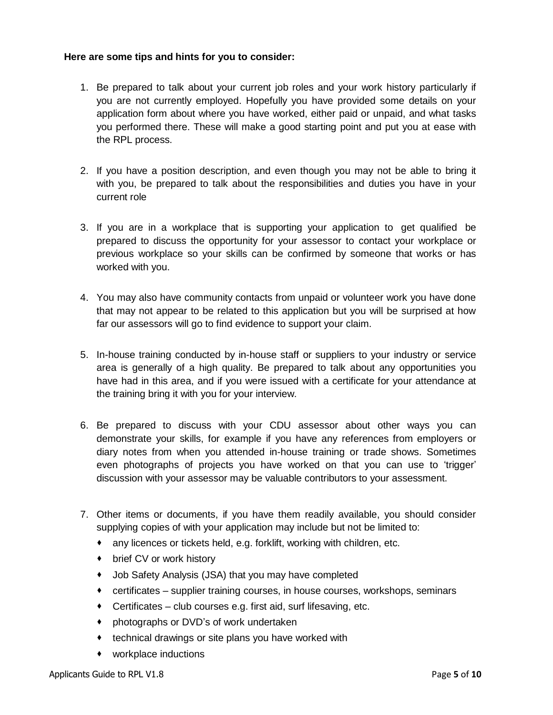#### **Here are some tips and hints for you to consider:**

- 1. Be prepared to talk about your current job roles and your work history particularly if you are not currently employed. Hopefully you have provided some details on your application form about where you have worked, either paid or unpaid, and what tasks you performed there. These will make a good starting point and put you at ease with the RPL process.
- 2. If you have a position description, and even though you may not be able to bring it with you, be prepared to talk about the responsibilities and duties you have in your current role
- 3. If you are in a workplace that is supporting your application to get qualified be prepared to discuss the opportunity for your assessor to contact your workplace or previous workplace so your skills can be confirmed by someone that works or has worked with you.
- 4. You may also have community contacts from unpaid or volunteer work you have done that may not appear to be related to this application but you will be surprised at how far our assessors will go to find evidence to support your claim.
- 5. In-house training conducted by in-house staff or suppliers to your industry or service area is generally of a high quality. Be prepared to talk about any opportunities you have had in this area, and if you were issued with a certificate for your attendance at the training bring it with you for your interview.
- 6. Be prepared to discuss with your CDU assessor about other ways you can demonstrate your skills, for example if you have any references from employers or diary notes from when you attended in-house training or trade shows. Sometimes even photographs of projects you have worked on that you can use to 'trigger' discussion with your assessor may be valuable contributors to your assessment.
- 7. Other items or documents, if you have them readily available, you should consider supplying copies of with your application may include but not be limited to:
	- any licences or tickets held, e.g. forklift, working with children, etc.
	- brief CV or work history
	- Job Safety Analysis (JSA) that you may have completed
	- certificates supplier training courses, in house courses, workshops, seminars
	- Certificates club courses e.g. first aid, surf lifesaving, etc.
	- photographs or DVD's of work undertaken
	- **technical drawings or site plans you have worked with**
	- workplace inductions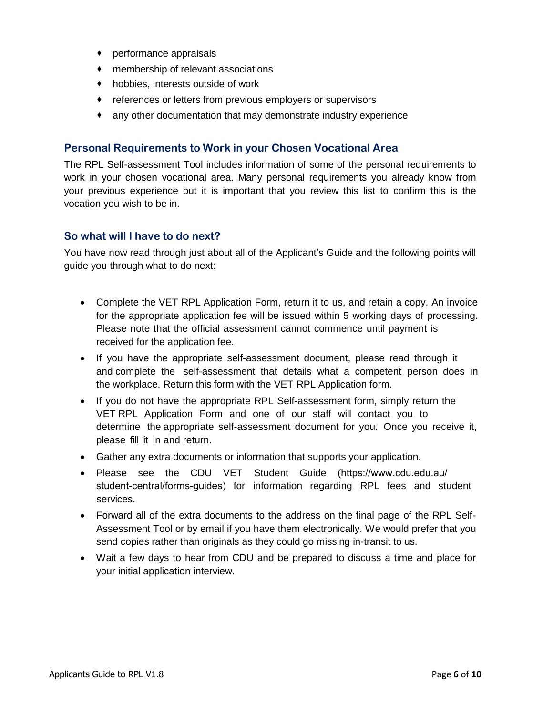- performance appraisals
- membership of relevant associations
- hobbies, interests outside of work
- references or letters from previous employers or supervisors
- any other documentation that may demonstrate industry experience

## **Personal Requirements to Work in your Chosen Vocational Area**

The RPL Self-assessment Tool includes information of some of the personal requirements to work in your chosen vocational area. Many personal requirements you already know from your previous experience but it is important that you review this list to confirm this is the vocation you wish to be in.

## **So what will I have to do next?**

You have now read through just about all of the Applicant's Guide and the following points will guide you through what to do next:

- Complete the VET RPL Application Form, return it to us, and retain a copy. An invoice for the appropriate application fee will be issued within 5 working days of processing. Please note that the official assessment cannot commence until payment is received for the application fee.
- If you have the appropriate self-assessment document, please read through it and complete the self-assessment that details what a competent person does in the workplace. Return this form with the VET RPL Application form.
- If you do not have the appropriate RPL Self-assessment form, simply return the VET RPL Application Form and one of our staff will contact you to determine the appropriate self-assessment document for you. Once you receive it, please fill it in and return.
- Gather any extra documents or information that supports your application.
- Please see the CDU VET Student Guide ([https://www.cdu.edu.au/](https://www.cdu.edu.au/student-central/forms-guides) [student-central/forms-guides\)](https://www.cdu.edu.au/student-central/forms-guides) for information regarding RPL fees and student services.
- Forward all of the extra documents to the address on the final page of the RPL Self-Assessment Tool or by email if you have them electronically. We would prefer that you send copies rather than originals as they could go missing in-transit to us.
- Wait a few days to hear from CDU and be prepared to discuss a time and place for your initial application interview.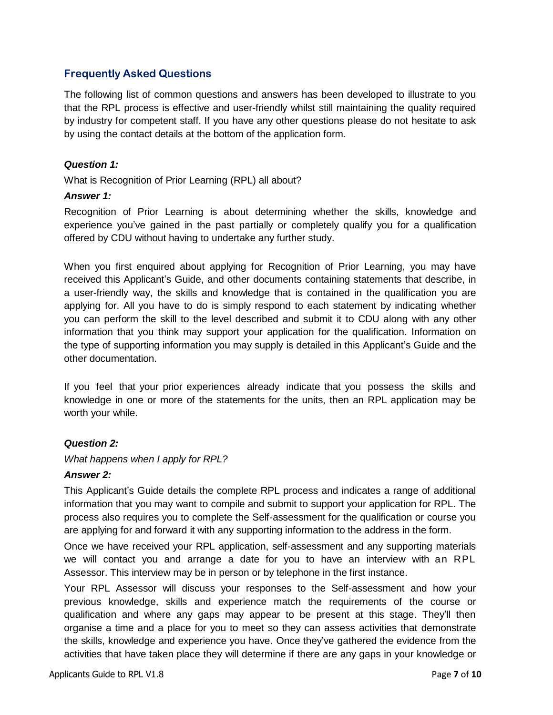# **Frequently Asked Questions**

The following list of common questions and answers has been developed to illustrate to you that the RPL process is effective and user-friendly whilst still maintaining the quality required by industry for competent staff. If you have any other questions please do not hesitate to ask by using the contact details at the bottom of the application form.

## *Question 1:*

What is Recognition of Prior Learning (RPL) all about?

#### *Answer 1:*

Recognition of Prior Learning is about determining whether the skills, knowledge and experience you've gained in the past partially or completely qualify you for a qualification offered by CDU without having to undertake any further study.

When you first enquired about applying for Recognition of Prior Learning, you may have received this Applicant's Guide, and other documents containing statements that describe, in a user-friendly way, the skills and knowledge that is contained in the qualification you are applying for. All you have to do is simply respond to each statement by indicating whether you can perform the skill to the level described and submit it to CDU along with any other information that you think may support your application for the qualification. Information on the type of supporting information you may supply is detailed in this Applicant's Guide and the other documentation.

If you feel that your prior experiences already indicate that you possess the skills and knowledge in one or more of the statements for the units, then an RPL application may be worth your while.

## *Question 2:*

*What happens when I apply for RPL?*

#### *Answer 2:*

This Applicant's Guide details the complete RPL process and indicates a range of additional information that you may want to compile and submit to support your application for RPL. The process also requires you to complete the Self-assessment for the qualification or course you are applying for and forward it with any supporting information to the address in the form.

Once we have received your RPL application, self-assessment and any supporting materials we will contact you and arrange a date for you to have an interview with an RPL Assessor. This interview may be in person or by telephone in the first instance.

Your RPL Assessor will discuss your responses to the Self-assessment and how your previous knowledge, skills and experience match the requirements of the course or qualification and where any gaps may appear to be present at this stage. They'll then organise a time and a place for you to meet so they can assess activities that demonstrate the skills, knowledge and experience you have. Once they've gathered the evidence from the activities that have taken place they will determine if there are any gaps in your knowledge or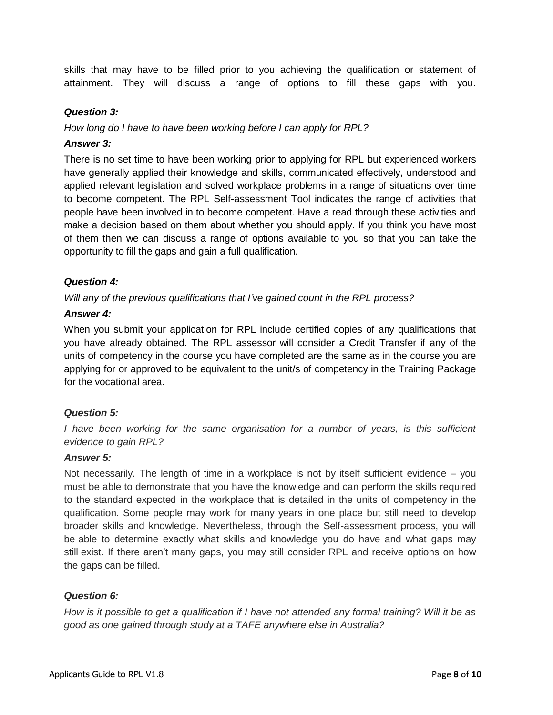skills that may have to be filled prior to you achieving the qualification or statement of attainment. They will discuss a range of options to fill these gaps with you.

## *Question 3:*

*How long do I have to have been working before I can apply for RPL?*

#### *Answer 3:*

There is no set time to have been working prior to applying for RPL but experienced workers have generally applied their knowledge and skills, communicated effectively, understood and applied relevant legislation and solved workplace problems in a range of situations over time to become competent. The RPL Self-assessment Tool indicates the range of activities that people have been involved in to become competent. Have a read through these activities and make a decision based on them about whether you should apply. If you think you have most of them then we can discuss a range of options available to you so that you can take the opportunity to fill the gaps and gain a full qualification.

## *Question 4:*

*Will any of the previous qualifications that I've gained count in the RPL process?* 

#### *Answer 4:*

When you submit your application for RPL include certified copies of any qualifications that you have already obtained. The RPL assessor will consider a Credit Transfer if any of the units of competency in the course you have completed are the same as in the course you are applying for or approved to be equivalent to the unit/s of competency in the Training Package for the vocational area.

## *Question 5:*

*I have been working for the same organisation for a number of years, is this sufficient evidence to gain RPL?*

## *Answer 5:*

Not necessarily. The length of time in a workplace is not by itself sufficient evidence – you must be able to demonstrate that you have the knowledge and can perform the skills required to the standard expected in the workplace that is detailed in the units of competency in the qualification. Some people may work for many years in one place but still need to develop broader skills and knowledge. Nevertheless, through the Self-assessment process, you will be able to determine exactly what skills and knowledge you do have and what gaps may still exist. If there aren't many gaps, you may still consider RPL and receive options on how the gaps can be filled.

## *Question 6:*

*How is it possible to get a qualification if I have not attended any formal training? Will it be as good as one gained through study at a TAFE anywhere else in Australia?*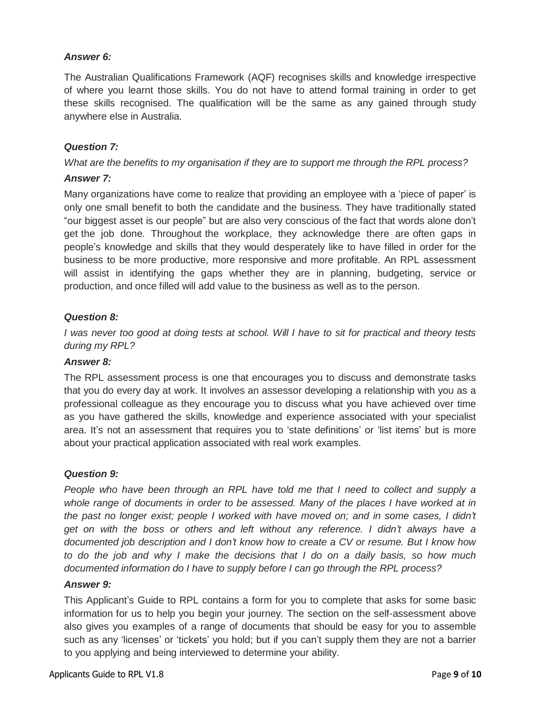## *Answer 6:*

The Australian Qualifications Framework (AQF) recognises skills and knowledge irrespective of where you learnt those skills. You do not have to attend formal training in order to get these skills recognised. The qualification will be the same as any gained through study anywhere else in Australia.

# *Question 7:*

*What are the benefits to my organisation if they are to support me through the RPL process?*

## *Answer 7:*

Many organizations have come to realize that providing an employee with a 'piece of paper' is only one small benefit to both the candidate and the business. They have traditionally stated "our biggest asset is our people" but are also very conscious of the fact that words alone don't get the job done. Throughout the workplace, they acknowledge there are often gaps in people's knowledge and skills that they would desperately like to have filled in order for the business to be more productive, more responsive and more profitable. An RPL assessment will assist in identifying the gaps whether they are in planning, budgeting, service or production, and once filled will add value to the business as well as to the person.

## *Question 8:*

*I was never too good at doing tests at school. Will I have to sit for practical and theory tests during my RPL?*

## *Answer 8:*

The RPL assessment process is one that encourages you to discuss and demonstrate tasks that you do every day at work. It involves an assessor developing a relationship with you as a professional colleague as they encourage you to discuss what you have achieved over time as you have gathered the skills, knowledge and experience associated with your specialist area. It's not an assessment that requires you to 'state definitions' or 'list items' but is more about your practical application associated with real work examples.

## *Question 9:*

*People who have been through an RPL have told me that I need to collect and supply a whole range of documents in order to be assessed. Many of the places I have worked at in the past no longer exist; people I worked with have moved on; and in some cases, I didn't get on with the boss or others and left without any reference. I didn't always have a documented job description and I don't know how to create a CV or resume. But I know how to do the job and why I make the decisions that I do on a daily basis, so how much documented information do I have to supply before I can go through the RPL process?*

#### *Answer 9:*

This Applicant's Guide to RPL contains a form for you to complete that asks for some basic information for us to help you begin your journey. The section on the self-assessment above also gives you examples of a range of documents that should be easy for you to assemble such as any 'licenses' or 'tickets' you hold; but if you can't supply them they are not a barrier to you applying and being interviewed to determine your ability.